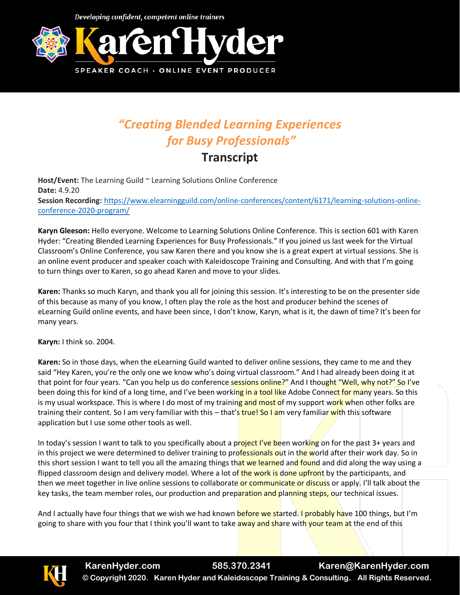Developing confident, competent online trainers



## *"Creating Blended Learning Experiences for Busy Professionals"*

## **Transcript**

**Host/Event:** The Learning Guild ~ Learning Solutions Online Conference **Date:** 4.9.20 **Session Recording:** [https://www.elearningguild.com/online-conferences/content/6171/learning-solutions-online](https://www.elearningguild.com/online-conferences/content/6171/learning-solutions-online-conference-2020-program/)[conference-2020-program/](https://www.elearningguild.com/online-conferences/content/6171/learning-solutions-online-conference-2020-program/)

**Karyn Gleeson:** Hello everyone. Welcome to Learning Solutions Online Conference. This is section 601 with Karen Hyder: "Creating Blended Learning Experiences for Busy Professionals." If you joined us last week for the Virtual Classroom's Online Conference, you saw Karen there and you know she is a great expert at virtual sessions. She is an online event producer and speaker coach with Kaleidoscope Training and Consulting. And with that I'm going to turn things over to Karen, so go ahead Karen and move to your slides.

**Karen:** Thanks so much Karyn, and thank you all for joining this session. It's interesting to be on the presenter side of this because as many of you know, I often play the role as the host and producer behind the scenes of eLearning Guild online events, and have been since, I don't know, Karyn, what is it, the dawn of time? It's been for many years.

**Karyn:** I think so. 2004.

**Karen:** So in those days, when the eLearning Guild wanted to deliver online sessions, they came to me and they said "Hey Karen, you're the only one we know who's doing virtual classroom." And I had already been doing it at that point for four years. "Can you help us do conference sessions online?" And I thought "Well, why not?" So I've been doing this for kind of a long time, and I've been working in a tool like Adobe Connect for many years. So this is my usual workspace. This is where I do most of my training and most of my support work when other folks are training their content. So I am very familiar with this – that's true! So I am very familiar with this software application but I use some other tools as well.

In today's session I want to talk to you specifically about a project I've been working on for the past 3+ years and in this project we were determined to deliver training to professionals out in the world after their work day. So in this short session I want to tell you all the amazing things that we learned and found and did along the way using a flipped classroom design and delivery model. Where a lot of the work is done upfront by the participants, and then we meet together in live online sessions to collaborate or communicate or discuss or apply. I'll talk about the key tasks, the team member roles, our production and preparation and planning steps, our technical issues.

And I actually have four things that we wish we had known before we started. I probably have 100 things, but I'm going to share with you four that I think you'll want to take away and share with your team at the end of this

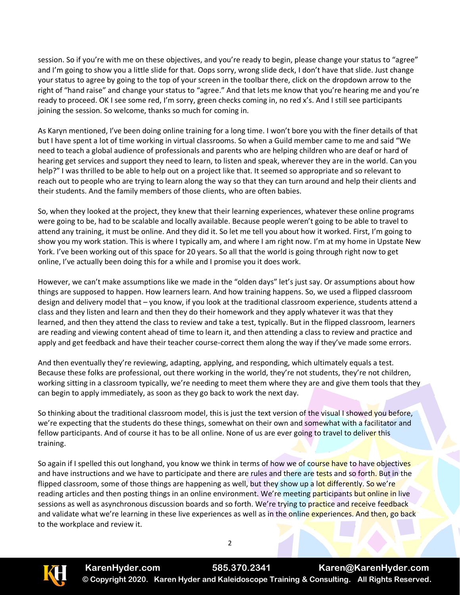session. So if you're with me on these objectives, and you're ready to begin, please change your status to "agree" and I'm going to show you a little slide for that. Oops sorry, wrong slide deck, I don't have that slide. Just change your status to agree by going to the top of your screen in the toolbar there, click on the dropdown arrow to the right of "hand raise" and change your status to "agree." And that lets me know that you're hearing me and you're ready to proceed. OK I see some red, I'm sorry, green checks coming in, no red x's. And I still see participants joining the session. So welcome, thanks so much for coming in.

As Karyn mentioned, I've been doing online training for a long time. I won't bore you with the finer details of that but I have spent a lot of time working in virtual classrooms. So when a Guild member came to me and said "We need to teach a global audience of professionals and parents who are helping children who are deaf or hard of hearing get services and support they need to learn, to listen and speak, wherever they are in the world. Can you help?" I was thrilled to be able to help out on a project like that. It seemed so appropriate and so relevant to reach out to people who are trying to learn along the way so that they can turn around and help their clients and their students. And the family members of those clients, who are often babies.

So, when they looked at the project, they knew that their learning experiences, whatever these online programs were going to be, had to be scalable and locally available. Because people weren't going to be able to travel to attend any training, it must be online. And they did it. So let me tell you about how it worked. First, I'm going to show you my work station. This is where I typically am, and where I am right now. I'm at my home in Upstate New York. I've been working out of this space for 20 years. So all that the world is going through right now to get online, I've actually been doing this for a while and I promise you it does work.

However, we can't make assumptions like we made in the "olden days" let's just say. Or assumptions about how things are supposed to happen. How learners learn. And how training happens. So, we used a flipped classroom design and delivery model that – you know, if you look at the traditional classroom experience, students attend a class and they listen and learn and then they do their homework and they apply whatever it was that they learned, and then they attend the class to review and take a test, typically. But in the flipped classroom, learners are reading and viewing content ahead of time to learn it, and then attending a class to review and practice and apply and get feedback and have their teacher course-correct them along the way if they've made some errors.

And then eventually they're reviewing, adapting, applying, and responding, which ultimately equals a test. Because these folks are professional, out there working in the world, they're not students, they're not children, working sitting in a classroom typically, we're needing to meet them where they are and give them tools that they can begin to apply immediately, as soon as they go back to work the next day.

So thinking about the traditional classroom model, this is just the text version of the visual I showed you before, we're expecting that the students do these things, somewhat on their own and somewhat with a facilitator and fellow participants. And of course it has to be all online. None of us are ever going to travel to deliver this training.

So again if I spelled this out longhand, you know we think in terms of how we of course have to have objectives and have instructions and we have to participate and there are rules and there are tests and so forth. But in the flipped classroom, some of those things are happening as well, but they show up a lot differently. So we're reading articles and then posting things in an online environment. We're meeting participants but online in live sessions as well as asynchronous discussion boards and so forth. We're trying to practice and receive feedback and validate what we're learning in these live experiences as well as in the online experiences. And then, go back to the workplace and review it.

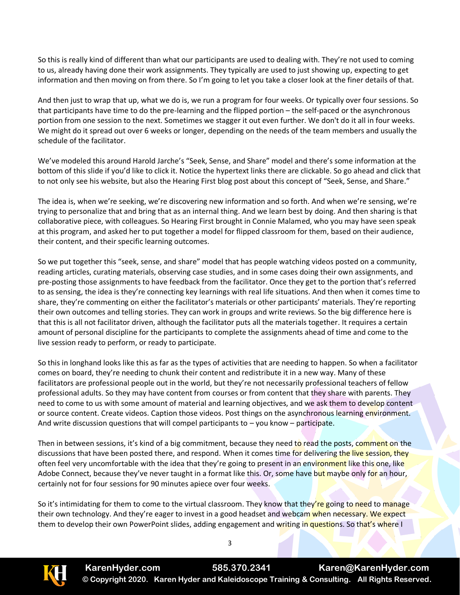So this is really kind of different than what our participants are used to dealing with. They're not used to coming to us, already having done their work assignments. They typically are used to just showing up, expecting to get information and then moving on from there. So I'm going to let you take a closer look at the finer details of that.

And then just to wrap that up, what we do is, we run a program for four weeks. Or typically over four sessions. So that participants have time to do the pre-learning and the flipped portion – the self-paced or the asynchronous portion from one session to the next. Sometimes we stagger it out even further. We don't do it all in four weeks. We might do it spread out over 6 weeks or longer, depending on the needs of the team members and usually the schedule of the facilitator.

We've modeled this around Harold Jarche's "Seek, Sense, and Share" model and there's some information at the bottom of this slide if you'd like to click it. Notice the hypertext links there are clickable. So go ahead and click that to not only see his website, but also the Hearing First blog post about this concept of "Seek, Sense, and Share."

The idea is, when we're seeking, we're discovering new information and so forth. And when we're sensing, we're trying to personalize that and bring that as an internal thing. And we learn best by doing. And then sharing is that collaborative piece, with colleagues. So Hearing First brought in Connie Malamed, who you may have seen speak at this program, and asked her to put together a model for flipped classroom for them, based on their audience, their content, and their specific learning outcomes.

So we put together this "seek, sense, and share" model that has people watching videos posted on a community, reading articles, curating materials, observing case studies, and in some cases doing their own assignments, and pre-posting those assignments to have feedback from the facilitator. Once they get to the portion that's referred to as sensing, the idea is they're connecting key learnings with real life situations. And then when it comes time to share, they're commenting on either the facilitator's materials or other participants' materials. They're reporting their own outcomes and telling stories. They can work in groups and write reviews. So the big difference here is that this is all not facilitator driven, although the facilitator puts all the materials together. It requires a certain amount of personal discipline for the participants to complete the assignments ahead of time and come to the live session ready to perform, or ready to participate.

So this in longhand looks like this as far as the types of activities that are needing to happen. So when a facilitator comes on board, they're needing to chunk their content and redistribute it in a new way. Many of these facilitators are professional people out in the world, but they're not necessarily professional teachers of fellow professional adults. So they may have content from courses or from content that they share with parents. They need to come to us with some amount of material and learning objectives, and we ask them to develop content or source content. Create videos. Caption those videos. Post things on the asynchronous learning environment. And write discussion questions that will compel participants to  $-$  you know  $-$  participate.

Then in between sessions, it's kind of a big commitment, because they need to read the posts, comment on the discussions that have been posted there, and respond. When it comes time for delivering the live session, they often feel very uncomfortable with the idea that they're going to present in an environment like this one, like Adobe Connect, because they've never taught in a format like this. Or, some have but maybe only for an hour, certainly not for four sessions for 90 minutes apiece over four weeks.

So it's intimidating for them to come to the virtual classroom. They know that they're going to need to manage their own technology. And they're eager to invest in a good headset and webcam when necessary. We expect them to develop their own PowerPoint slides, adding engagement and writing in questions. So that's where I

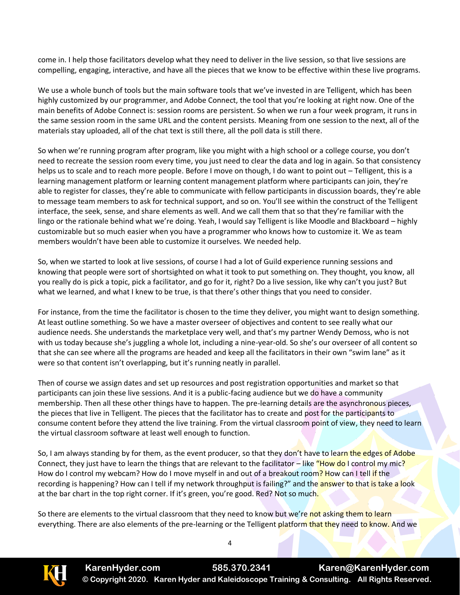come in. I help those facilitators develop what they need to deliver in the live session, so that live sessions are compelling, engaging, interactive, and have all the pieces that we know to be effective within these live programs.

We use a whole bunch of tools but the main software tools that we've invested in are Telligent, which has been highly customized by our programmer, and Adobe Connect, the tool that you're looking at right now. One of the main benefits of Adobe Connect is: session rooms are persistent. So when we run a four week program, it runs in the same session room in the same URL and the content persists. Meaning from one session to the next, all of the materials stay uploaded, all of the chat text is still there, all the poll data is still there.

So when we're running program after program, like you might with a high school or a college course, you don't need to recreate the session room every time, you just need to clear the data and log in again. So that consistency helps us to scale and to reach more people. Before I move on though, I do want to point out – Telligent, this is a learning management platform or learning content management platform where participants can join, they're able to register for classes, they're able to communicate with fellow participants in discussion boards, they're able to message team members to ask for technical support, and so on. You'll see within the construct of the Telligent interface, the seek, sense, and share elements as well. And we call them that so that they're familiar with the lingo or the rationale behind what we're doing. Yeah, I would say Telligent is like Moodle and Blackboard – highly customizable but so much easier when you have a programmer who knows how to customize it. We as team members wouldn't have been able to customize it ourselves. We needed help.

So, when we started to look at live sessions, of course I had a lot of Guild experience running sessions and knowing that people were sort of shortsighted on what it took to put something on. They thought, you know, all you really do is pick a topic, pick a facilitator, and go for it, right? Do a live session, like why can't you just? But what we learned, and what I knew to be true, is that there's other things that you need to consider.

For instance, from the time the facilitator is chosen to the time they deliver, you might want to design something. At least outline something. So we have a master overseer of objectives and content to see really what our audience needs. She understands the marketplace very well, and that's my partner Wendy Demoss, who is not with us today because she's juggling a whole lot, including a nine-year-old. So she's our overseer of all content so that she can see where all the programs are headed and keep all the facilitators in their own "swim lane" as it were so that content isn't overlapping, but it's running neatly in parallel.

Then of course we assign dates and set up resources and post registration opportunities and market so that participants can join these live sessions. And it is a public-facing audience but we do have a community membership. Then all these other things have to happen. The pre-learning details are the asynchronous pieces, the pieces that live in Telligent. The pieces that the facilitator has to create and post for the participants to consume content before they attend the live training. From the virtual classroom point of view, they need to learn the virtual classroom software at least well enough to function.

So, I am always standing by for them, as the event producer, so that they don't have to learn the edges of Adobe Connect, they just have to learn the things that are relevant to the facilitator – like "How do I control my mic? How do I control my webcam? How do I move myself in and out of a breakout room? How can I tell if the recording is happening? How can I tell if my network throughput is failing?" and the **answer to that is take a look** at the bar chart in the top right corner. If it's green, you're good. Red? Not so much.

So there are elements to the virtual classroom that they need to know but we're not asking them to learn everything. There are also elements of the pre-learning or the Telligent platform that they need to know. And we

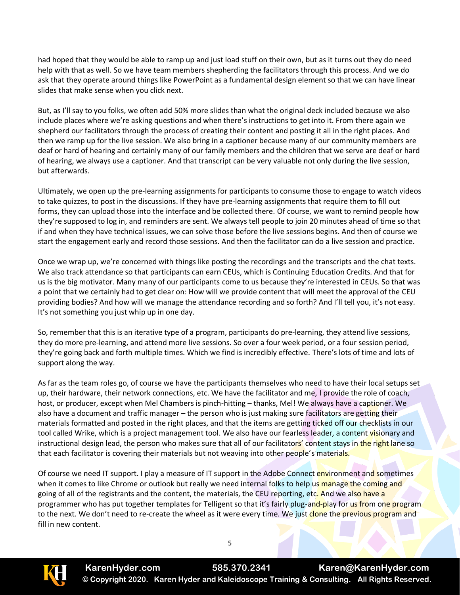had hoped that they would be able to ramp up and just load stuff on their own, but as it turns out they do need help with that as well. So we have team members shepherding the facilitators through this process. And we do ask that they operate around things like PowerPoint as a fundamental design element so that we can have linear slides that make sense when you click next.

But, as I'll say to you folks, we often add 50% more slides than what the original deck included because we also include places where we're asking questions and when there's instructions to get into it. From there again we shepherd our facilitators through the process of creating their content and posting it all in the right places. And then we ramp up for the live session. We also bring in a captioner because many of our community members are deaf or hard of hearing and certainly many of our family members and the children that we serve are deaf or hard of hearing, we always use a captioner. And that transcript can be very valuable not only during the live session, but afterwards.

Ultimately, we open up the pre-learning assignments for participants to consume those to engage to watch videos to take quizzes, to post in the discussions. If they have pre-learning assignments that require them to fill out forms, they can upload those into the interface and be collected there. Of course, we want to remind people how they're supposed to log in, and reminders are sent. We always tell people to join 20 minutes ahead of time so that if and when they have technical issues, we can solve those before the live sessions begins. And then of course we start the engagement early and record those sessions. And then the facilitator can do a live session and practice.

Once we wrap up, we're concerned with things like posting the recordings and the transcripts and the chat texts. We also track attendance so that participants can earn CEUs, which is Continuing Education Credits. And that for us is the big motivator. Many many of our participants come to us because they're interested in CEUs. So that was a point that we certainly had to get clear on: How will we provide content that will meet the approval of the CEU providing bodies? And how will we manage the attendance recording and so forth? And I'll tell you, it's not easy. It's not something you just whip up in one day.

So, remember that this is an iterative type of a program, participants do pre-learning, they attend live sessions, they do more pre-learning, and attend more live sessions. So over a four week period, or a four session period, they're going back and forth multiple times. Which we find is incredibly effective. There's lots of time and lots of support along the way.

As far as the team roles go, of course we have the participants themselves who need to have their local setups set up, their hardware, their network connections, etc. We have the facilitator and me, I provide the role of coach, host, or producer, except when Mel Chambers is pinch-hitting – thanks, Mel! We always have a captioner. We also have a document and traffic manager – the person who is just making sure facilitators are getting their materials formatted and posted in the right places, and that the items are getting ticked off our checklists in our tool called Wrike, which is a project management tool. We also have our fearless leader, a content visionary and instructional design lead, the person who makes sure that all of our facilitators' content stays in the right lane so that each facilitator is covering their materials but not weaving into other people's materials.

Of course we need IT support. I play a measure of IT support in the Adobe Connect environment and sometimes when it comes to like Chrome or outlook but really we need internal folks to help us manage the coming and going of all of the registrants and the content, the materials, the CEU reporting, etc. And we also have a programmer who has put together templates for Telligent so that it's fairly plug-and-play for us from one program to the next. We don't need to re-create the wheel as it were every time. We just clone the previous program and fill in new content.

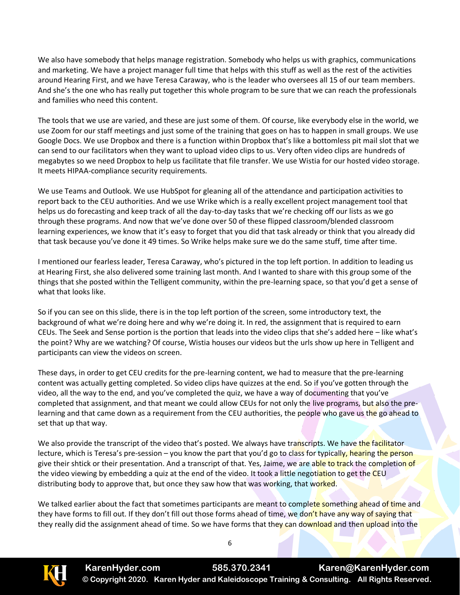We also have somebody that helps manage registration. Somebody who helps us with graphics, communications and marketing. We have a project manager full time that helps with this stuff as well as the rest of the activities around Hearing First, and we have Teresa Caraway, who is the leader who oversees all 15 of our team members. And she's the one who has really put together this whole program to be sure that we can reach the professionals and families who need this content.

The tools that we use are varied, and these are just some of them. Of course, like everybody else in the world, we use Zoom for our staff meetings and just some of the training that goes on has to happen in small groups. We use Google Docs. We use Dropbox and there is a function within Dropbox that's like a bottomless pit mail slot that we can send to our facilitators when they want to upload video clips to us. Very often video clips are hundreds of megabytes so we need Dropbox to help us facilitate that file transfer. We use Wistia for our hosted video storage. It meets HIPAA-compliance security requirements.

We use Teams and Outlook. We use HubSpot for gleaning all of the attendance and participation activities to report back to the CEU authorities. And we use Wrike which is a really excellent project management tool that helps us do forecasting and keep track of all the day-to-day tasks that we're checking off our lists as we go through these programs. And now that we've done over 50 of these flipped classroom/blended classroom learning experiences, we know that it's easy to forget that you did that task already or think that you already did that task because you've done it 49 times. So Wrike helps make sure we do the same stuff, time after time.

I mentioned our fearless leader, Teresa Caraway, who's pictured in the top left portion. In addition to leading us at Hearing First, she also delivered some training last month. And I wanted to share with this group some of the things that she posted within the Telligent community, within the pre-learning space, so that you'd get a sense of what that looks like.

So if you can see on this slide, there is in the top left portion of the screen, some introductory text, the background of what we're doing here and why we're doing it. In red, the assignment that is required to earn CEUs. The Seek and Sense portion is the portion that leads into the video clips that she's added here – like what's the point? Why are we watching? Of course, Wistia houses our videos but the urls show up here in Telligent and participants can view the videos on screen.

These days, in order to get CEU credits for the pre-learning content, we had to measure that the pre-learning content was actually getting completed. So video clips have quizzes at the end. So if you've gotten through the video, all the way to the end, and you've completed the quiz, we have a way of documenting that you've completed that assignment, and that meant we could allow CEUs for not only the live programs, but also the prelearning and that came down as a requirement from the CEU authorities, the people who gave us the go ahead to set that up that way.

We also provide the transcript of the video that's posted. We always have transcripts. We have the facilitator lecture, which is Teresa's pre-session – you know the part that you'd go to class for typically, hearing the person give their shtick or their presentation. And a transcript of that. Yes, Jaime, we are able to track the completion of the video viewing by embedding a quiz at the end of the video. It took a little negotiation to get the CEU distributing body to approve that, but once they saw how that was working, that worked.

We talked earlier about the fact that sometimes participants are meant to complete something ahead of time and they have forms to fill out. If they don't fill out those forms ahead of time, we don't have any way of saying that they really did the assignment ahead of time. So we have forms that they can download and then upload into the

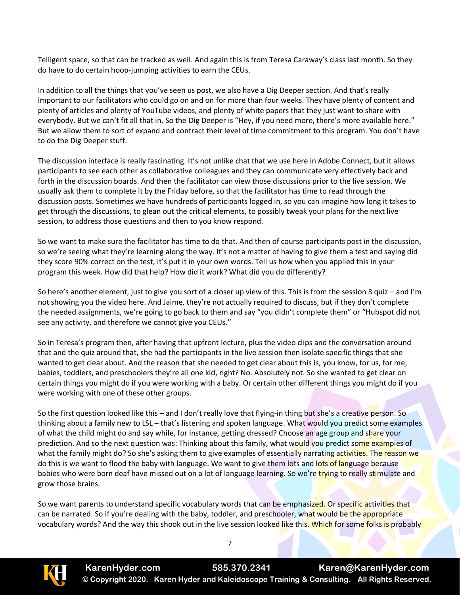Telligent space, so that can be tracked as well. And again this is from Teresa Caraway's class last month. So they do have to do certain hoop-jumping activities to earn the CEUs.

In addition to all the things that you've seen us post, we also have a Dig Deeper section. And that's really important to our facilitators who could go on and on for more than four weeks. They have plenty of content and plenty of articles and plenty of YouTube videos, and plenty of white papers that they just want to share with everybody. But we can't fit all that in. So the Dig Deeper is "Hey, if you need more, there's more available here." But we allow them to sort of expand and contract their level of time commitment to this program. You don't have to do the Dig Deeper stuff.

The discussion interface is really fascinating. It's not unlike chat that we use here in Adobe Connect, but it allows participants to see each other as collaborative colleagues and they can communicate very effectively back and forth in the discussion boards. And then the facilitator can view those discussions prior to the live session. We usually ask them to complete it by the Friday before, so that the facilitator has time to read through the discussion posts. Sometimes we have hundreds of participants logged in, so you can imagine how long it takes to get through the discussions, to glean out the critical elements, to possibly tweak your plans for the next live session, to address those questions and then to you know respond.

So we want to make sure the facilitator has time to do that. And then of course participants post in the discussion, so we're seeing what they're learning along the way. It's not a matter of having to give them a test and saying did they score 90% correct on the test, it's put it in your own words. Tell us how when you applied this in your program this week. How did that help? How did it work? What did you do differently?

So here's another element, just to give you sort of a closer up view of this. This is from the session 3 quiz – and I'm not showing you the video here. And Jaime, they're not actually required to discuss, but if they don't complete the needed assignments, we're going to go back to them and say "you didn't complete them" or "Hubspot did not see any activity, and therefore we cannot give you CEUs."

So in Teresa's program then, after having that upfront lecture, plus the video clips and the conversation around that and the quiz around that, she had the participants in the live session then isolate specific things that she wanted to get clear about. And the reason that she needed to get clear about this is, you know, for us, for me, babies, toddlers, and preschoolers they're all one kid, right? No. Absolutely not. So she wanted to get clear on certain things you might do if you were working with a baby. Or certain other different things you might do if you were working with one of these other groups.

So the first question looked like this – and I don't really love that flying-in thing but she's a creative person. So thinking about a family new to LSL – that's listening and spoken language. What would you predict some examples of what the child might do and say while, for instance, getting dressed? Choose an age group and share your prediction. And so the next question was: Thinking about this family, what would you predict some examples of what the family might do? So she's asking them to give examples of essentially narrating activities. The reason we do this is we want to flood the baby with language. We want to give them lots and lots of language because babies who were born deaf have missed out on a lot of language learning. So we're trying to really stimulate and grow those brains.

So we want parents to understand specific vocabulary words that can be emphasized. Or specific activities that can be narrated. So if you're dealing with the baby, toddler, and preschooler, what would be the appropriate vocabulary words? And the way this shook out in the live session looked like this. Which for some folks is probably

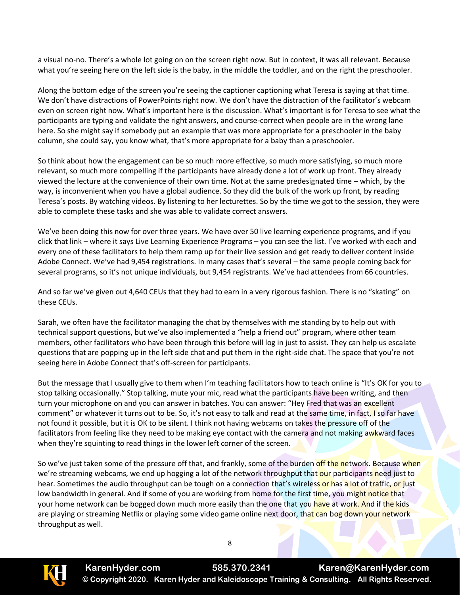a visual no-no. There's a whole lot going on on the screen right now. But in context, it was all relevant. Because what you're seeing here on the left side is the baby, in the middle the toddler, and on the right the preschooler.

Along the bottom edge of the screen you're seeing the captioner captioning what Teresa is saying at that time. We don't have distractions of PowerPoints right now. We don't have the distraction of the facilitator's webcam even on screen right now. What's important here is the discussion. What's important is for Teresa to see what the participants are typing and validate the right answers, and course-correct when people are in the wrong lane here. So she might say if somebody put an example that was more appropriate for a preschooler in the baby column, she could say, you know what, that's more appropriate for a baby than a preschooler.

So think about how the engagement can be so much more effective, so much more satisfying, so much more relevant, so much more compelling if the participants have already done a lot of work up front. They already viewed the lecture at the convenience of their own time. Not at the same predesignated time – which, by the way, is inconvenient when you have a global audience. So they did the bulk of the work up front, by reading Teresa's posts. By watching videos. By listening to her lecturettes. So by the time we got to the session, they were able to complete these tasks and she was able to validate correct answers.

We've been doing this now for over three years. We have over 50 live learning experience programs, and if you click that link – where it says Live Learning Experience Programs – you can see the list. I've worked with each and every one of these facilitators to help them ramp up for their live session and get ready to deliver content inside Adobe Connect. We've had 9,454 registrations. In many cases that's several – the same people coming back for several programs, so it's not unique individuals, but 9,454 registrants. We've had attendees from 66 countries.

And so far we've given out 4,640 CEUs that they had to earn in a very rigorous fashion. There is no "skating" on these CEUs.

Sarah, we often have the facilitator managing the chat by themselves with me standing by to help out with technical support questions, but we've also implemented a "help a friend out" program, where other team members, other facilitators who have been through this before will log in just to assist. They can help us escalate questions that are popping up in the left side chat and put them in the right-side chat. The space that you're not seeing here in Adobe Connect that's off-screen for participants.

But the message that I usually give to them when I'm teaching facilitators how to teach online is "It's OK for you to stop talking occasionally." Stop talking, mute your mic, read what the participants have been writing, and then turn your microphone on and you can answer in batches. You can answer: "Hey Fred that was an excellent comment" or whatever it turns out to be. So, it's not easy to talk and read at the same time, in fact, I so far have not found it possible, but it is OK to be silent. I think not having webcams on takes the pressure off of the facilitators from feeling like they need to be making eye contact with the camera and not making awkward faces when they're squinting to read things in the lower left corner of the screen.

So we've just taken some of the pressure off that, and frankly, some of the burden off the network. Because when we're streaming webcams, we end up hogging a lot of the network throughput that our participants need just to hear. Sometimes the audio throughput can be tough on a connection that's wireless or has a lot of traffic, or just low bandwidth in general. And if some of you are working from home for the first time, you might notice that your home network can be bogged down much more easily than the one that you have at work. And if the kids are playing or streaming Netflix or playing some video game online next door, that can bog down your network throughput as well.

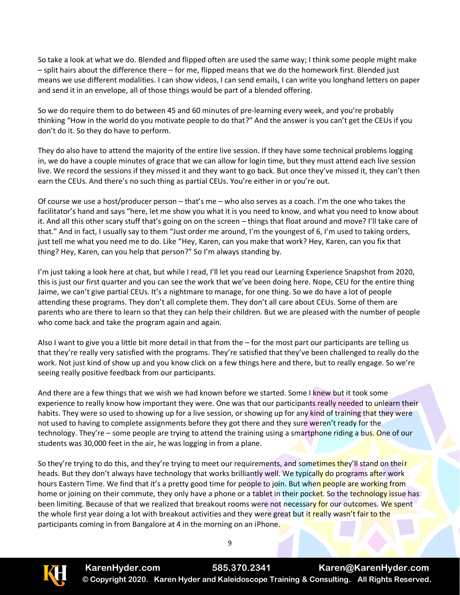So take a look at what we do. Blended and flipped often are used the same way; I think some people might make – split hairs about the difference there – for me, flipped means that we do the homework first. Blended just means we use different modalities. I can show videos, I can send emails, I can write you longhand letters on paper and send it in an envelope, all of those things would be part of a blended offering.

So we do require them to do between 45 and 60 minutes of pre-learning every week, and you're probably thinking "How in the world do you motivate people to do that?" And the answer is you can't get the CEUs if you don't do it. So they do have to perform.

They do also have to attend the majority of the entire live session. If they have some technical problems logging in, we do have a couple minutes of grace that we can allow for login time, but they must attend each live session live. We record the sessions if they missed it and they want to go back. But once they've missed it, they can't then earn the CEUs. And there's no such thing as partial CEUs. You're either in or you're out.

Of course we use a host/producer person – that's me – who also serves as a coach. I'm the one who takes the facilitator's hand and says "here, let me show you what it is you need to know, and what you need to know about it. And all this other scary stuff that's going on on the screen – things that float around and move? I'll take care of that." And in fact, I usually say to them "Just order me around, I'm the youngest of 6, I'm used to taking orders, just tell me what you need me to do. Like "Hey, Karen, can you make that work? Hey, Karen, can you fix that thing? Hey, Karen, can you help that person?" So I'm always standing by.

I'm just taking a look here at chat, but while I read, I'll let you read our Learning Experience Snapshot from 2020, this is just our first quarter and you can see the work that we've been doing here. Nope, CEU for the entire thing Jaime, we can't give partial CEUs. It's a nightmare to manage, for one thing. So we do have a lot of people attending these programs. They don't all complete them. They don't all care about CEUs. Some of them are parents who are there to learn so that they can help their children. But we are pleased with the number of people who come back and take the program again and again.

Also I want to give you a little bit more detail in that from the – for the most part our participants are telling us that they're really very satisfied with the programs. They're satisfied that they've been challenged to really do the work. Not just kind of show up and you know click on a few things here and there, but to really engage. So we're seeing really positive feedback from our participants.

And there are a few things that we wish we had known before we started. Some I knew but it took some experience to really know how important they were. One was that our participants really needed to unlearn their habits. They were so used to showing up for a live session, or showing up for any kind of training that they were not used to having to complete assignments before they got there and they sure weren't ready for the technology. They're – some people are trying to attend the training using a smartphone riding a bus. One of our students was 30,000 feet in the air, he was logging in from a plane.

So they're trying to do this, and they're trying to meet our requirements, and sometimes they'll stand on their heads. But they don't always have technology that works brilliantly well. We typically do programs after work hours Eastern Time. We find that it's a pretty good time for people to join. But when people are working from home or joining on their commute, they only have a phone or a tablet in their pocket. So the technology issue has been limiting. Because of that we realized that breakout rooms were not necessary for our outcomes. We spent the whole first year doing a lot with breakout activities and they were great but it really wasn't fair to the participants coming in from Bangalore at 4 in the morning on an iPhone.

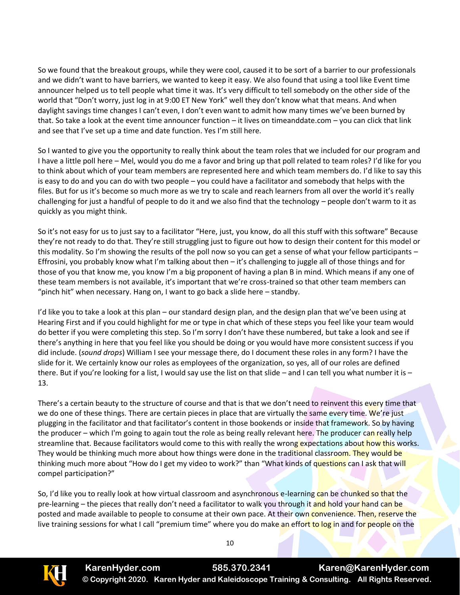So we found that the breakout groups, while they were cool, caused it to be sort of a barrier to our professionals and we didn't want to have barriers, we wanted to keep it easy. We also found that using a tool like Event time announcer helped us to tell people what time it was. It's very difficult to tell somebody on the other side of the world that "Don't worry, just log in at 9:00 ET New York" well they don't know what that means. And when daylight savings time changes I can't even, I don't even want to admit how many times we've been burned by that. So take a look at the event time announcer function – it lives on timeanddate.com – you can click that link and see that I've set up a time and date function. Yes I'm still here.

So I wanted to give you the opportunity to really think about the team roles that we included for our program and I have a little poll here – Mel, would you do me a favor and bring up that poll related to team roles? I'd like for you to think about which of your team members are represented here and which team members do. I'd like to say this is easy to do and you can do with two people – you could have a facilitator and somebody that helps with the files. But for us it's become so much more as we try to scale and reach learners from all over the world it's really challenging for just a handful of people to do it and we also find that the technology – people don't warm to it as quickly as you might think.

So it's not easy for us to just say to a facilitator "Here, just, you know, do all this stuff with this software" Because they're not ready to do that. They're still struggling just to figure out how to design their content for this model or this modality. So I'm showing the results of the poll now so you can get a sense of what your fellow participants – Effrosini, you probably know what I'm talking about then – it's challenging to juggle all of those things and for those of you that know me, you know I'm a big proponent of having a plan B in mind. Which means if any one of these team members is not available, it's important that we're cross-trained so that other team members can "pinch hit" when necessary. Hang on, I want to go back a slide here – standby.

I'd like you to take a look at this plan – our standard design plan, and the design plan that we've been using at Hearing First and if you could highlight for me or type in chat which of these steps you feel like your team would do better if you were completing this step. So I'm sorry I don't have these numbered, but take a look and see if there's anything in here that you feel like you should be doing or you would have more consistent success if you did include. (*sound drops*) William I see your message there, do I document these roles in any form? I have the slide for it. We certainly know our roles as employees of the organization, so yes, all of our roles are defined there. But if you're looking for a list, I would say use the list on that slide – and I can tell you what number it is – 13.

There's a certain beauty to the structure of course and that is that we don't need to reinvent this every time that we do one of these things. There are certain pieces in place that are virtually the same every time. We're just plugging in the facilitator and that facilitator's content in those bookends or inside that framework. So by having the producer – which I'm going to again tout the role as being really relevant here. The producer can really help streamline that. Because facilitators would come to this with really the wrong expectations about how this works. They would be thinking much more about how things were done in the traditional classroom. They would be thinking much more about "How do I get my video to work?" than "What kinds of questions can I ask that will compel participation?"

So, I'd like you to really look at how virtual classroom and asynchronous e-learning can be chunked so that the pre-learning – the pieces that really don't need a facilitator to walk you through it and hold your hand can be posted and made available to people to consume at their own pace. At their own convenience. Then, reserve the live training sessions for what I call "premium time" where you do make an effort to log in and for people on the

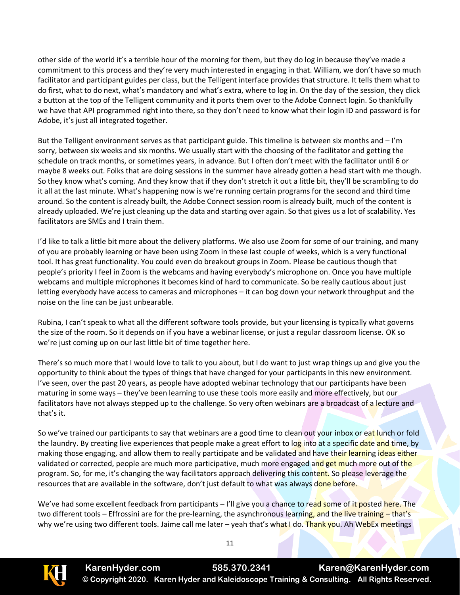other side of the world it's a terrible hour of the morning for them, but they do log in because they've made a commitment to this process and they're very much interested in engaging in that. William, we don't have so much facilitator and participant guides per class, but the Telligent interface provides that structure. It tells them what to do first, what to do next, what's mandatory and what's extra, where to log in. On the day of the session, they click a button at the top of the Telligent community and it ports them over to the Adobe Connect login. So thankfully we have that API programmed right into there, so they don't need to know what their login ID and password is for Adobe, it's just all integrated together.

But the Telligent environment serves as that participant guide. This timeline is between six months and – I'm sorry, between six weeks and six months. We usually start with the choosing of the facilitator and getting the schedule on track months, or sometimes years, in advance. But I often don't meet with the facilitator until 6 or maybe 8 weeks out. Folks that are doing sessions in the summer have already gotten a head start with me though. So they know what's coming. And they know that if they don't stretch it out a little bit, they'll be scrambling to do it all at the last minute. What's happening now is we're running certain programs for the second and third time around. So the content is already built, the Adobe Connect session room is already built, much of the content is already uploaded. We're just cleaning up the data and starting over again. So that gives us a lot of scalability. Yes facilitators are SMEs and I train them.

I'd like to talk a little bit more about the delivery platforms. We also use Zoom for some of our training, and many of you are probably learning or have been using Zoom in these last couple of weeks, which is a very functional tool. It has great functionality. You could even do breakout groups in Zoom. Please be cautious though that people's priority I feel in Zoom is the webcams and having everybody's microphone on. Once you have multiple webcams and multiple microphones it becomes kind of hard to communicate. So be really cautious about just letting everybody have access to cameras and microphones – it can bog down your network throughput and the noise on the line can be just unbearable.

Rubina, I can't speak to what all the different software tools provide, but your licensing is typically what governs the size of the room. So it depends on if you have a webinar license, or just a regular classroom license. OK so we're just coming up on our last little bit of time together here.

There's so much more that I would love to talk to you about, but I do want to just wrap things up and give you the opportunity to think about the types of things that have changed for your participants in this new environment. I've seen, over the past 20 years, as people have adopted webinar technology that our participants have been maturing in some ways – they've been learning to use these tools more easily and more effectively, but our facilitators have not always stepped up to the challenge. So very often webinars are a broadcast of a lecture and that's it.

So we've trained our participants to say that webinars are a good time to clean out your inbox or eat lunch or fold the laundry. By creating live experiences that people make a great effort to log into at a specific date and time, by making those engaging, and allow them to really participate and be validated and have their learning ideas either validated or corrected, people are much more participative, much more engaged and get much more out of the program. So, for me, it's changing the way facilitators approach delivering this content. So please leverage the resources that are available in the software, don't just default to what was always done before.

We've had some excellent feedback from participants – I'll give you a chance to read some of it posted here. The two different tools – Effrossini are for the pre-learning, the asynchronous learning, and the live training – that's why we're using two different tools. Jaime call me later – yeah that's what I do. Thank you. Ah WebEx meetings